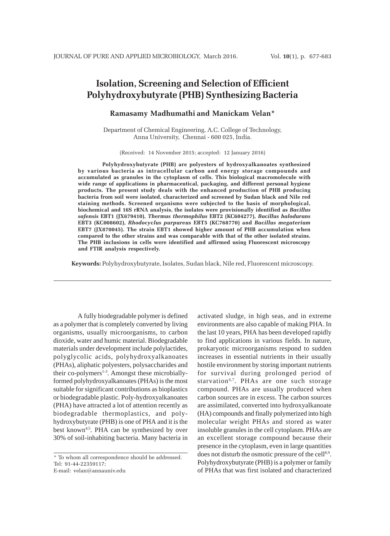# **Isolation, Screening and Selection of Efficient Polyhydroxybutyrate (PHB) Synthesizing Bacteria**

# **Ramasamy Madhumathi and Manickam Velan\***

Department of Chemical Engineering, A.C. College of Technology, Anna University, Chennai - 600 025, India.

(Received: 14 November 2015; accepted: 12 January 2016)

**Polyhydroxybutyrate (PHB) are polyesters of hydroxyalkanoates synthesized by various bacteria as intracellular carbon and energy storage compounds and accumulated as granules in the cytoplasm of cells. This biological macromolecule with wide range of applications in pharmaceutical, packaging, and different personal hygiene products. The present study deals with the enhanced production of PHB producing bacteria from soil were isolated, characterized and screened by Sudan black and Nile red staining methods. Screened organisms were subjected to the basis of morphological, biochemical and 16S rRNA analysis, the isolates were provisionally identified as** *Bacillus safensis* **EBT1 (JX679410),** *Thermus thermophilus* **EBT2 (KC684277),** *Bacillus halodurans* **EBT3 (KC008602),** *Rhodocyclus purpureus* **EBT5 (KC768770) and** *Bacillus megaterium* **EBT7 (JX870045). The strain EBT1 showed higher amount of PHB accumulation when compared to the other strains and was comparable with that of the other isolated strains. The PHB inclusions in cells were identified and affirmed using Fluorescent microscopy and FTIR analysis respectively.**

**Keywords:** Polyhydroxybutyrate, Isolates, Sudan black, Nile red, Fluorescent microscopy.

A fully biodegradable polymer is defined as a polymer that is completely converted by living organisms, usually microorganisms, to carbon dioxide, water and humic material. Biodegradable materials under development include polylactides, polyglycolic acids, polyhydroxyalkanoates (PHAs), aliphatic polyesters, polysaccharides and their co-polymers $1-3$ . Amongst these microbiallyformed polyhydroxyalkanoates (PHAs) is the most suitable for significant contributions as bioplastics or biodegradable plastic. Poly-hydroxyalkanoates (PHA) have attracted a lot of attention recently as biodegradable thermoplastics, and polyhydroxybutyrate (PHB) is one of PHA and it is the best known<sup>4,5</sup>. PHA can be synthesized by over 30% of soil-inhabiting bacteria. Many bacteria in

\* To whom all correspondence should be addressed. Tel: 91-44-22359117; E-mail: velan@annauniv.edu

activated sludge, in high seas, and in extreme environments are also capable of making PHA. In the last 10 years, PHA has been developed rapidly to find applications in various fields. In nature, prokaryotic microorganisms respond to sudden increases in essential nutrients in their usually hostile environment by storing important nutrients for survival during prolonged period of starvation<sup>6,7</sup>. PHAs are one such storage compound. PHAs are usually produced when carbon sources are in excess. The carbon sources are assimilated, converted into hydroxyalkanoate (HA) compounds and finally polymerized into high molecular weight PHAs and stored as water insoluble granules in the cell cytoplasm. PHAs are an excellent storage compound because their presence in the cytoplasm, even in large quantities does not disturb the osmotic pressure of the cell<sup>8,9</sup>. Polyhydroxybutyrate (PHB) is a polymer or family of PHAs that was first isolated and characterized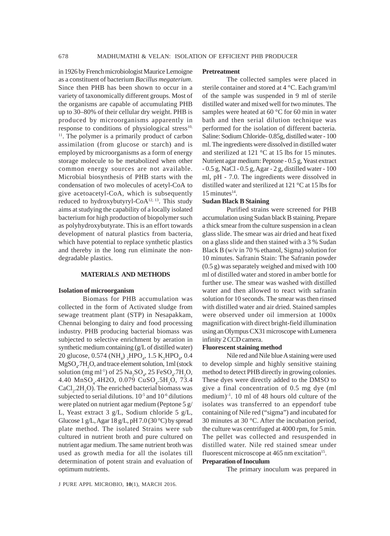in 1926 by French microbiologist Maurice Lemoigne as a constituent of bacterium *Bacillus megaterium*. Since then PHB has been shown to occur in a variety of taxonomically different groups. Most of the organisms are capable of accumulating PHB up to 30–80% of their cellular dry weight. PHB is produced by microorganisms apparently in response to conditions of physiological stress $10$ , <sup>11</sup>. The polymer is a primarily product of carbon assimilation (from glucose or starch) and is employed by microorganisms as a form of energy storage molecule to be metabolized when other common energy sources are not available. Microbial biosynthesis of PHB starts with the condensation of two molecules of acetyl-CoA to give acetoacetyl-CoA, which is subsequently reduced to hydroxybutyryl-CoA<sup>12, 13</sup>. This study aims at studying the capability of a locally isolated bacterium for high production of biopolymer such as polyhydroxybutyrate. This is an effort towards development of natural plastics from bacteria, which have potential to replace synthetic plastics and thereby in the long run eliminate the nondegradable plastics.

#### **MATERIALS AND METHODS**

### **Isolation of microorganism**

Biomass for PHB accumulation was collected in the form of Activated sludge from sewage treatment plant (STP) in Nesapakkam, Chennai belonging to dairy and food processing industry. PHB producing bacterial biomass was subjected to selective enrichment by aeration in synthetic medium containing (g/L of distilled water) 20 glucose, 0.574 (NH<sub>4</sub>) <sub>2</sub>HPO<sub>4</sub>, 1.5 K<sub>2</sub>HPO<sub>4</sub>, 0.4  $MgSO<sub>4</sub>$ .7H<sub>2</sub>O, and trace element solution, 1ml (stock solution (mg ml<sup>-1</sup>) of 25  $\text{Na}_2\text{SO}_4$ , 25  $\text{FeSO}_4$ .7H<sub>2</sub>O,  $4.40$  MnSO<sub>4</sub>.4H2O, 0.079 CuSO<sub>4</sub>.5H<sub>2</sub>O, 73.4  $CaCl<sub>2</sub>$ :2H<sub>2</sub>O). The enriched bacterial biomass was subjected to serial dilutions.  $10^{-5}$  and  $10^{-6}$  dilutions were plated on nutrient agar medium (Peptone 5 g/ L, Yeast extract 3 g/L, Sodium chloride 5 g/L, Glucose 1 g/L, Agar 18 g/L, pH 7.0 (30 °C) by spread plate method. The isolated Strains were sub cultured in nutrient broth and pure cultured on nutrient agar medium. The same nutrient broth was used as growth media for all the isolates till determination of potent strain and evaluation of optimum nutrients.

#### **Pretreatment**

The collected samples were placed in sterile container and stored at 4 °C. Each gram/ml of the sample was suspended in 9 ml of sterile distilled water and mixed well for two minutes. The samples were heated at  $60^{\circ}$ C for  $60$  min in water bath and then serial dilution technique was performed for the isolation of different bacteria. Saline: Sodium Chloride- 0.85g, distilled water - 100 ml. The ingredients were dissolved in distilled water and sterilized at 121 °C at 15 lbs for 15 minutes. Nutrient agar medium: Peptone - 0.5 g, Yeast extract - 0.5 g, NaCl - 0.5 g, Agar - 2 g, distilled water - 100 ml, pH - 7.0. The ingredients were dissolved in distilled water and sterilized at 121 °C at 15 lbs for  $15$  minutes<sup>14</sup>.

#### **Sudan Black B Staining**

Purified strains were screened for PHB accumulation using Sudan black B staining. Prepare a thick smear from the culture suspension in a clean glass slide. The smear was air dried and heat fixed on a glass slide and then stained with a 3 % Sudan Black B (w/v in 70 % ethanol, Sigma) solution for 10 minutes. Safranin Stain: The Safranin powder (0.5 g) was separately weighed and mixed with 100 ml of distilled water and stored in amber bottle for further use. The smear was washed with distilled water and then allowed to react with safranin solution for 10 seconds. The smear was then rinsed with distilled water and air dried. Stained samples were observed under oil immersion at 1000x magnification with direct bright-field illumination using an Olympus CX31 microscope with Lumenera infinity 2 CCD camera.

#### **Fluorescent staining method**

Nile red and Nile blue A staining were used to develop simple and highly sensitive staining method to detect PHB directly in growing colonies. These dyes were directly added to the DMSO to give a final concentration of 0.5 mg dye (ml medium $)^{-1}$ . 10 ml of 48 hours old culture of the isolates was transferred to an eppendorf tube containing of Nile red ("sigma") and incubated for 30 minutes at 30 °C. After the incubation period, the culture was centrifuged at 4000 rpm, for 5 min. The pellet was collected and resuspended in distilled water. Nile red stained smear under fluorescent microscope at  $465$  nm excitation<sup>15</sup>.

# **Preparation of Inoculum**

The primary inoculum was prepared in

J PURE APPL MICROBIO*,* **10**(1), MARCH 2016.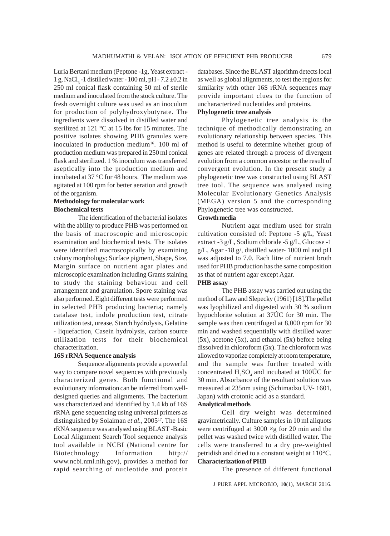Luria Bertani medium (Peptone -1g, Yeast extract - 1 g, NaCl<sub>3</sub> -1 distilled water - 100 ml, pH - 7.2  $\pm$ 0.2 in 250 ml conical flask containing 50 ml of sterile medium and inoculated from the stock culture. The fresh overnight culture was used as an inoculum for production of polyhydroxybutyrate. The ingredients were dissolved in distilled water and sterilized at 121 °C at 15 lbs for 15 minutes. The positive isolates showing PHB granules were inoculated in production medium<sup>16</sup>. 100 ml of production medium was prepared in 250 ml conical flask and sterilized. 1 % inoculum was transferred aseptically into the production medium and incubated at 37 °C for 48 hours. The medium was agitated at 100 rpm for better aeration and growth of the organism.

# **Methodology for molecular work Biochemical tests**

The identification of the bacterial isolates with the ability to produce PHB was performed on the basis of macroscopic and microscopic examination and biochemical tests. The isolates were identified macroscopically by examining colony morphology; Surface pigment, Shape, Size, Margin surface on nutrient agar plates and microscopic examination including Grams staining to study the staining behaviour and cell arrangement and granulation. Spore staining was also performed. Eight different tests were performed in selected PHB producing bacteria; namely catalase test, indole production test, citrate utilization test, urease, Starch hydrolysis, Gelatine - liquefaction, Casein hydrolysis, carbon source utilization tests for their biochemical characterization.

# **16S rRNA Sequence analysis**

Sequence alignments provide a powerful way to compare novel sequences with previously characterized genes. Both functional and evolutionary information can be inferred from welldesigned queries and alignments. The bacterium was characterized and identified by 1.4 kb of 16S rRNA gene sequencing using universal primers as distinguished by Solaiman et al., 2005<sup>17</sup>. The 16S rRNA sequence was analysed using BLAST -Basic Local Alignment Search Tool sequence analysis tool available in NCBI (National centre for Biotechnology Information http:// www.ncbi.nml.nih.gov), provides a method for rapid searching of nucleotide and protein

databases. Since the BLAST algorithm detects local as well as global alignments, to test the regions for similarity with other 16S rRNA sequences may provide important clues to the function of uncharacterized nucleotides and proteins. **Phylogenetic tree analysis**

Phylogenetic tree analysis is the technique of methodically demonstrating an evolutionary relationship between species. This method is useful to determine whether group of genes are related through a process of divergent evolution from a common ancestor or the result of convergent evolution. In the present study a phylogenetic tree was constructed using BLAST tree tool. The sequence was analysed using Molecular Evolutionary Genetics Analysis (MEGA) version 5 and the corresponding Phylogenetic tree was constructed.

# **Growth media**

Nutrient agar medium used for strain cultivation consisted of: Peptone -5 g/L, Yeast extract -3 g/L, Sodium chloride -5 g/L, Glucose -1 g/L, Agar -18 g/, distilled water- 1000 ml and pH was adjusted to 7.0. Each litre of nutrient broth used for PHB production has the same composition as that of nutrient agar except Agar.

# **PHB assay**

The PHB assay was carried out using the method of Law and Slepecky (1961) [18].The pellet was lyophilized and digested with 30 % sodium hypochlorite solution at 37ÚC for 30 min. The sample was then centrifuged at 8,000 rpm for 30 min and washed sequentially with distilled water  $(5x)$ , acetone  $(5x)$ , and ethanol  $(5x)$  before being dissolved in chloroform (5x). The chloroform was allowed to vaporize completely at room temperature, and the sample was further treated with concentrated  $H_2SO_4$  and incubated at 100ÚC for 30 min. Absorbance of the resultant solution was measured at 235nm using (Schimadzu UV- 1601, Japan) with crotonic acid as a standard.

# **Analytical methods**

Cell dry weight was determined gravimetrically. Culture samples in 10 ml aliquots were centrifuged at  $3000 \times g$  for 20 min and the pellet was washed twice with distilled water. The cells were transferred to a dry pre-weighted petridish and dried to a constant weight at 110°C. **Characterization of PHB**

The presence of different functional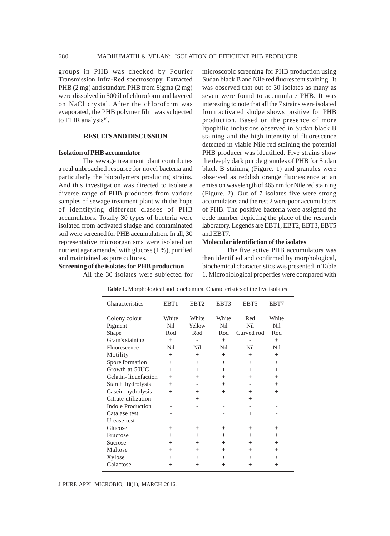groups in PHB was checked by Fourier Transmission Infra-Red spectroscopy. Extracted PHB (2 mg) and standard PHB from Sigma (2 mg) were dissolved in 500 ìl of chloroform and layered on NaCl crystal. After the chloroform was evaporated, the PHB polymer film was subjected to FTIR analysis $19$ .

# **RESULTS AND DISCUSSION**

# **Isolation of PHB accumulator**

The sewage treatment plant contributes a real unbroached resource for novel bacteria and particularly the biopolymers producing strains. And this investigation was directed to isolate a diverse range of PHB producers from various samples of sewage treatment plant with the hope of identifying different classes of PHB accumulators. Totally 30 types of bacteria were isolated from activated sludge and contaminated soil were screened for PHB accumulation. In all, 30 representative microorganisms were isolated on nutrient agar amended with glucose (1 %), purified and maintained as pure cultures.

#### **Screening of the isolates for PHB production**

All the 30 isolates were subjected for

microscopic screening for PHB production using Sudan black B and Nile red fluorescent staining. It was observed that out of 30 isolates as many as seven were found to accumulate PHB. It was interesting to note that all the 7 strains were isolated from activated sludge shows positive for PHB production. Based on the presence of more lipophilic inclusions observed in Sudan black B staining and the high intensity of fluorescence detected in viable Nile red staining the potential PHB producer was identified. Five strains show the deeply dark purple granules of PHB for Sudan black B staining (Figure. 1) and granules were observed as reddish orange fluorescence at an emission wavelength of 465 nm for Nile red staining (Figure. 2). Out of 7 isolates five were strong accumulators and the rest 2 were poor accumulators of PHB. The positive bacteria were assigned the code number depicting the place of the research laboratory. Legends are EBT1, EBT2, EBT3, EBT5 and EBT7.

# **Molecular identifiction of the isolates**

The five active PHB accumulators was then identified and confirmed by morphological, biochemical characteristics was presented in Table 1. Microbiological properties were compared with

| Characteristics          | EBT1   | EBT <sub>2</sub> | EBT3    | EBT <sub>5</sub> | EBT7   |
|--------------------------|--------|------------------|---------|------------------|--------|
| Colony colour            | White  | White            | White   | Red              | White  |
| Pigment                  | Nil    | Yellow           | Nil     | Nil              | Nil    |
| Shape                    | Rod    | Rod              | Rod     | Curved rod       | Rod    |
| Gram's staining          | $+$    |                  | $+$     |                  | $^{+}$ |
| Fluorescence             | Nil    | Nil              | Nil     | Nil              | Nil    |
| Motility                 | $+$    | $^{+}$           | $+$     | $^{+}$           | $^{+}$ |
| Spore formation          | $^{+}$ | $^{+}$           | $^{+}$  | $^{+}$           | $^{+}$ |
| Growth at 50UC           | $+$    | $^{+}$           | $+$     | $^{+}$           | $^{+}$ |
| Gelatin-liquefaction     | $+$    | $^{+}$           | $^{+}$  | $^{+}$           | $^{+}$ |
| Starch hydrolysis        | $+$    |                  | $^{+}$  |                  | $^{+}$ |
| Casein hydrolysis        | $+$    | $^{+}$           | $^{+}$  | $^{+}$           | $^{+}$ |
| Citrate utilization      |        | $^{+}$           |         | $^{+}$           |        |
| <b>Indole Production</b> |        |                  |         |                  |        |
| Catalase test            |        | $^{+}$           |         | $\overline{+}$   |        |
| Urease test              |        |                  |         |                  |        |
| Glucose                  | $^{+}$ | $^{+}$           | $\,+\,$ | $^{+}$           | $^{+}$ |
| Fructose                 | $^{+}$ | $^{+}$           | $^{+}$  | $^{+}$           | $^{+}$ |
| Sucrose                  | $^{+}$ | $^{+}$           | $^{+}$  | $+$              | $^{+}$ |
| Maltose                  | $^{+}$ | $^{+}$           | $+$     | $^{+}$           | $^{+}$ |
| Xylose                   | $^{+}$ | $^{+}$           | $^{+}$  | $^{+}$           | $^{+}$ |
| Galactose                | $^{+}$ | $^{+}$           | $^{+}$  | $^{+}$           | $^{+}$ |

**Table 1.** Morphological and biochemical Characteristics of the five isolates

J PURE APPL MICROBIO*,* **10**(1), MARCH 2016.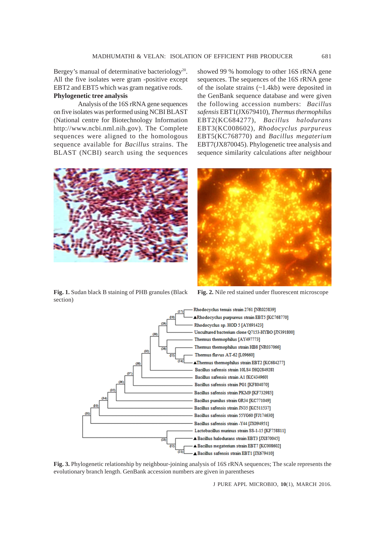Bergey's manual of determinative bacteriology<sup>20</sup>. All the five isolates were gram -positive except EBT2 and EBT5 which was gram negative rods. **Phylogenetic tree analysis**

Analysis of the 16S rRNA gene sequences on five isolates was performed using NCBI BLAST (National centre for Biotechnology Information http://www.ncbi.nml.nih.gov). The Complete sequences were aligned to the homologous sequence available for *Bacillus* strains. The BLAST (NCBI) search using the sequences showed 99 % homology to other 16S rRNA gene sequences. The sequences of the 16S rRNA gene of the isolate strains (~1.4kb) were deposited in the GenBank sequence database and were given the following accession numbers: *Bacillus safensis* EBT1(JX679410), *Thermus thermophilus* EBT2(KC684277), *Bacillus halodurans* EBT3(KC008602), *Rhodocyclus purpureus* EBT5(KC768770) and *Bacillus megaterium* EBT7(JX870045). Phylogenetic tree analysis and sequence similarity calculations after neighbour



**Fig. 1.** Sudan black B staining of PHB granules (Black **Fig. 2.** Nile red stained under fluorescent microscope section)



**Fig. 3.** Phylogenetic relationship by neighbour-joining analysis of 16S rRNA sequences; The scale represents the evolutionary branch length. GenBank accession numbers are given in parentheses

J PURE APPL MICROBIO*,* **10**(1), MARCH 2016.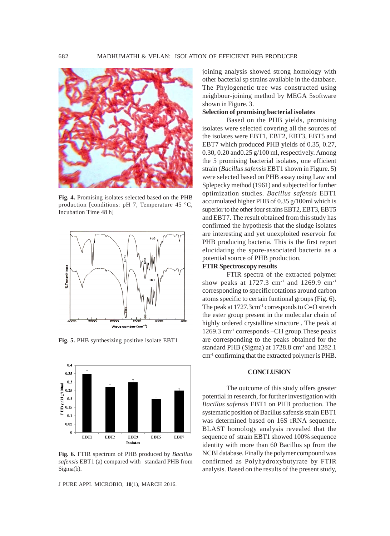

**Fig. 4.** Promising isolates selected based on the PHB production [conditions: pH 7, Temperature 45 °C, Incubation Time 48 h]



**Fig. 5.** PHB synthesizing positive isolate EBT1



**Fig. 6.** FTIR spectrum of PHB produced by *Bacillus safensis* EBT1 (a) compared with standard PHB from Sigma(b).

J PURE APPL MICROBIO*,* **10**(1), MARCH 2016.

joining analysis showed strong homology with other bacterial sp strains available in the database. The Phylogenetic tree was constructed using neighbour-joining method by MEGA 5software shown in Figure. 3.

# **Selection of promising bacterial isolates**

Based on the PHB yields, promising isolates were selected covering all the sources of the isolates were EBT1, EBT2, EBT3, EBT5 and EBT7 which produced PHB yields of 0.35, 0.27, 0.30, 0.20 and0.25 g/100 ml, respectively. Among the 5 promising bacterial isolates, one efficient strain (*Bacillus safensis* EBT1 shown in Figure. 5) were selected based on PHB assay using Law and Splepecky method (1961) and subjected for further optimization studies. *Bacillus safensis* EBT1 accumulated higher PHB of 0.35 g/100ml which is superior to the other four strains EBT2, EBT3, EBT5 and EBT7. The result obtained from this study has confirmed the hypothesis that the sludge isolates are interesting and yet unexploited reservoir for PHB producing bacteria. This is the first report elucidating the spore-associated bacteria as a potential source of PHB production.

#### **FTIR Spectroscopy results**

FTIR spectra of the extracted polymer show peaks at 1727.3 cm<sup>-1</sup> and 1269.9 cm<sup>-1</sup> corresponding to specific rotations around carbon atoms specific to certain funtional groups (Fig. 6). The peak at  $1727.3 \text{cm}^{-1}$  corresponds to C=O stretch the ester group present in the molecular chain of highly ordered crystalline structure . The peak at 1269.3 cm-1 corresponds –CH group.These peaks are corresponding to the peaks obtained for the standard PHB (Sigma) at  $1728.8$  cm<sup>-1</sup> and  $1282.1$ cm-1 confirming that the extracted polymer is PHB.

#### **CONCLUSION**

The outcome of this study offers greater potential in research, for further investigation with *Bacillus safensis* EBT1 on PHB production. The systematic position of Bacillus safensis strain EBT1 was determined based on 16S rRNA sequence. BLAST homology analysis revealed that the sequence of strain EBT1 showed 100% sequence identity with more than 60 Bacillus sp from the NCBI database. Finally the polymer compound was confirmed as Polyhydroxybutyrate by FTIR analysis. Based on the results of the present study,